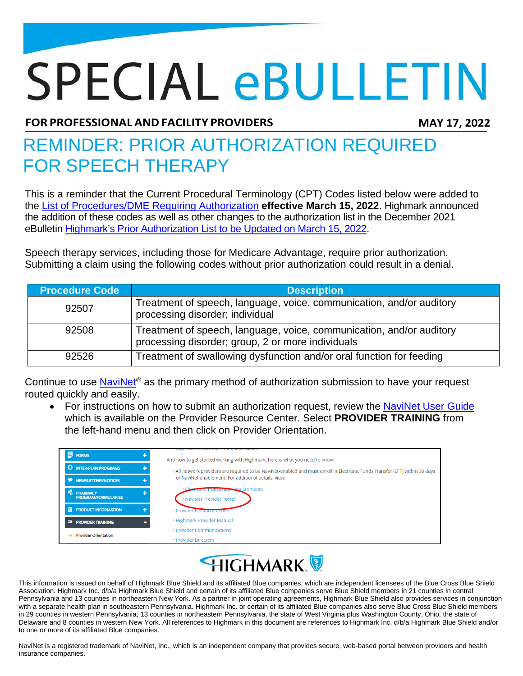## **SPECIAL eBULLETIN**

**FOR PROFESSIONAL ANDFACILITY PROVIDERS MAY 17, 2022**

## REMINDER: PRIOR AUTHORIZATION REQUIRED FOR SPEECH THERAPY

This is a reminder that the Current Procedural Terminology (CPT) Codes listed below were added to the List of [Procedures/DME](https://content.highmarkprc.com/Files/ClaimsPaymentReimb/Proc-Requiring-Auth-list.pdf) Requiring Authorization **effective March 15, 2022**. Highmark announced the addition of these codes as well as other changes to the authorization list in the December 2021 eBulletin [Highmark's Prior Authorization List to be Updated on March 15, 2022.](https://content.highmarkprc.com/Files/NewsletterNotices/SpecialBulletins/sb-prior-authorization-list-update-march-2022.pdf)

Speech therapy services, including those for Medicare Advantage, require prior authorization. Submitting a claim using the following codes without prior authorization could result in a denial.

| <b>Procedure Code</b> | <b>Description</b>                                                                                                        |
|-----------------------|---------------------------------------------------------------------------------------------------------------------------|
| 92507                 | Treatment of speech, language, voice, communication, and/or auditory<br>processing disorder; individual                   |
| 92508                 | Treatment of speech, language, voice, communication, and/or auditory<br>processing disorder; group, 2 or more individuals |
| 92526                 | Treatment of swallowing dysfunction and/or oral function for feeding                                                      |

Continue to use NaviNet<sup>®</sup> as the primary method of authorization submission to have your request routed quickly and easily.

• For instructions on how to submit an authorization request, review the [NaviNet User Guide](https://content.highmarkprc.com/Files/ProviderOrientation/navinet-provider-portal.pdf) which is available on the Provider Resource Center. Select **PROVIDER TRAINING** from the left-hand menu and then click on Provider Orientation.

| FORMS                                                 | <b>THEITHIN &amp; MISSION, VISION, GITG VOIDUS</b><br>And now to get started working with Highmark, here is what you need to know:                                                   |  |  |
|-------------------------------------------------------|--------------------------------------------------------------------------------------------------------------------------------------------------------------------------------------|--|--|
| <b>C</b> INTER-PLAN PROGRAMS                          | . All network providers are required to be NaviNet-enabled and must enroll in Electronic Funds Transfer (EFT) within 30 days<br>of NaviNet enablement. For additional details, view: |  |  |
| <b>NEWSLETTERS/NOTICES</b>                            |                                                                                                                                                                                      |  |  |
| <b>CO</b> PHARMACY<br>٠<br><b>PROGRAM/FORMULARIES</b> | <b>Petronic Transaction, Pequirements</b><br>• NaviNet Provider Portal                                                                                                               |  |  |
| <b>ig PRODUCT INFORMATION</b>                         | • Provider Resource center                                                                                                                                                           |  |  |
| $\equiv$ PROVIDER TRAINING                            | • Highmark Provider Manual                                                                                                                                                           |  |  |
| <b>Provider Orientation</b>                           | • Provider Communications                                                                                                                                                            |  |  |
|                                                       | • Provider Directory                                                                                                                                                                 |  |  |



This information is issued on behalf of Highmark Blue Shield and its affiliated Blue companies, which are independent licensees of the Blue Cross Blue Shield Association. Highmark Inc. d/b/a Highmark Blue Shield and certain of its affiliated Blue companies serve Blue Shield members in 21 counties in central Pennsylvania and 13 counties in northeastern New York. As a partner in joint operating agreements, Highmark Blue Shield also provides services in conjunction with a separate health plan in southeastern Pennsylvania. Highmark Inc. or certain of its affiliated Blue companies also serve Blue Cross Blue Shield members in 29 counties in western Pennsylvania, 13 counties in northeastern Pennsylvania, the state of West Virginia plus Washington County, Ohio, the state of Delaware and 8 counties in western New York. All references to Highmark in this document are references to Highmark Inc. d/b/a Highmark Blue Shield and/or to one or more of its affiliated Blue companies.

NaviNet is a registered trademark of NaviNet, Inc., which is an independent company that provides secure, web-based portal between providers and health insurance companies.